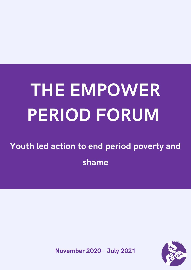# THE EMPOWER PERIOD FORUM

Youth led action to end period poverty and shame



November 2020 - July 2021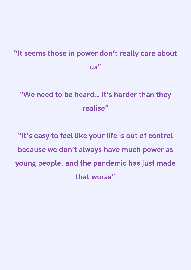### "It seems those in power don't really care about us"

### "We need to be heard... it's harder than they realise"

"It's easy to feel like your life is out of control because we don't always have much power as young people, and the pandemic has just made that worse"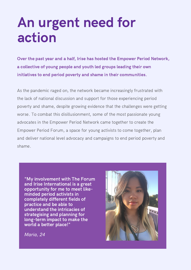## An urgent need for action

Over the past year and a half, Irise has hosted the Empower Period Network, a collective of young people and youth led groups leading their own initiatives to end period poverty and shame in their communities.

As the pandemic raged on, the network became increasingly frustrated with the lack of national discussion and support for those experiencing period poverty and shame, despite growing evidence that the challenges were getting worse. To combat this disillusionment, some of the most passionate young advocates in the Empower Period Network came together to create the Empower Period Forum, a space for young activists to come together, plan and deliver national level advocacy and campaigns to end period poverty and shame.

"My involvement with The Forum and Irise International is a great opportunity for me to meet likeminded period activists in completely different fields of practice and be able to understand the intricacies of strategising and planning for long-term impact to make the world a better place!"



Maria, 24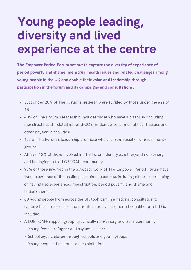### Young people leading, diversity and lived experience at the centre

The Empower Period Forum set out to capture the diversity of experience of period poverty and shame, menstrual health issues and related challenges among young people in the UK and enable their voice and leadership through participation in the forum and its campaigns and consultations.

- Just under 20% of The Forum's leadership are fulfilled by those under the age of 18
- 40% of The Forum's leadership includes those who have a disability (including menstrual health related issues (PCOS, Endometriosis), mental health issues and other physical disabilities)
- 1/3 of The Forum's leadership are those who are from racial or ethnic minority groups
- At least 12% of those involved in The Forum identify as either/and non-binary and belonging to the LGBTQAI+ community
- 97% of those involved in the advocacy work of The Empower Period Forum have lived experience of the challenges it aims to address including either experiencing or having had experienced menstruation, period poverty and shame and embarrassment.
- 60 young people from across the UK took part in a national consultation to capture their experiences and priorities for realising period equality for all. This included:
- A LGBTQAI+ support group (specifically non-binary and trans community)
	- Young female refugees and asylum seekers
	- School aged children through schools and youth groups
	- Young people at risk of sexual exploitation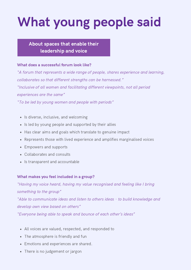# What young people said

#### About spaces that enable their leadership and voice

#### What does a successful forum look like?

"A forum that represents a wide range of people, shares experience and learning, collaborates so that different strengths can be harnessed." "Inclusive of all women and facilitating different viewpoints, not all period experiences are the same"

"To be led by young women and people with periods"

- Is diverse, inclusive, and welcoming
- Is led by young people and supported by their allies
- Has clear aims and goals which translate to genuine impact
- Represents those with lived experience and amplifies marginalised voices
- Empowers and supports
- Collaborates and consults
- Is transparent and accountable

#### What makes you feel included in a group?

"Having my voice heard, having my value recognised and feeling like I bring something to the group" "Able to communicate ideas and listen to others ideas - to build knowledge and develop own view based on others" "Everyone being able to speak and bounce of each other's ideas"

- All voices are valued, respected, and responded to
- The atmosphere is friendly and fun
- Emotions and experiences are shared.
- There is no judgement or jargon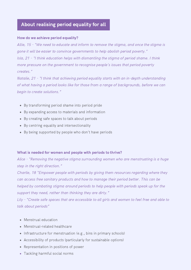#### About realising period equality for all

#### How do we achieve period equality?

Allie, 15 - "We need to educate and inform to remove the stigma, and once the stigma is gone it will be easier to convince governments to help abolish period poverty." Isla, 21 - "I think education helps with dismantling the stigma of period shame. I think more pressure on the government to recognise people's issues that period poverty creates."

Natalie, 21 - "I think that achieving period equality starts with an in-depth understanding of what having a period looks like for those from a range of backgrounds, before we can begin to create solutions."

- By transforming period shame into period pride
- By expanding access to materials and information
- By creating safe spaces to talk about periods
- By centring equality and intersectionality
- By being supported by people who don't have periods

#### What is needed for women and people with periods to thrive?

Alice - "Removing the negative stigma surrounding women who are menstruating is a huge step in the right direction."

Charlie, 18 "Empower people with periods by giving them resources regarding where they can access free sanitary products and how to manage their period better. This can be helped by combating stigma around periods to help people with periods speak up for the support they need, rather than thinking they are dirty."

[Lily - "Create](https://www.irise.org.uk/wp-admin/admin.php?page=cfdb7-list.php&fid=20712&ufid=142) safe spaces that are accessible to all girls and women to feel free and able to talk about periods"

- Menstrual education
- Menstrual-related healthcare
- Infrastructure for menstruation (e.g., bins in primary schools)
- Accessibility of products (particularly for sustainable options)
- Representation in positions of power
- Tackling harmful social norms